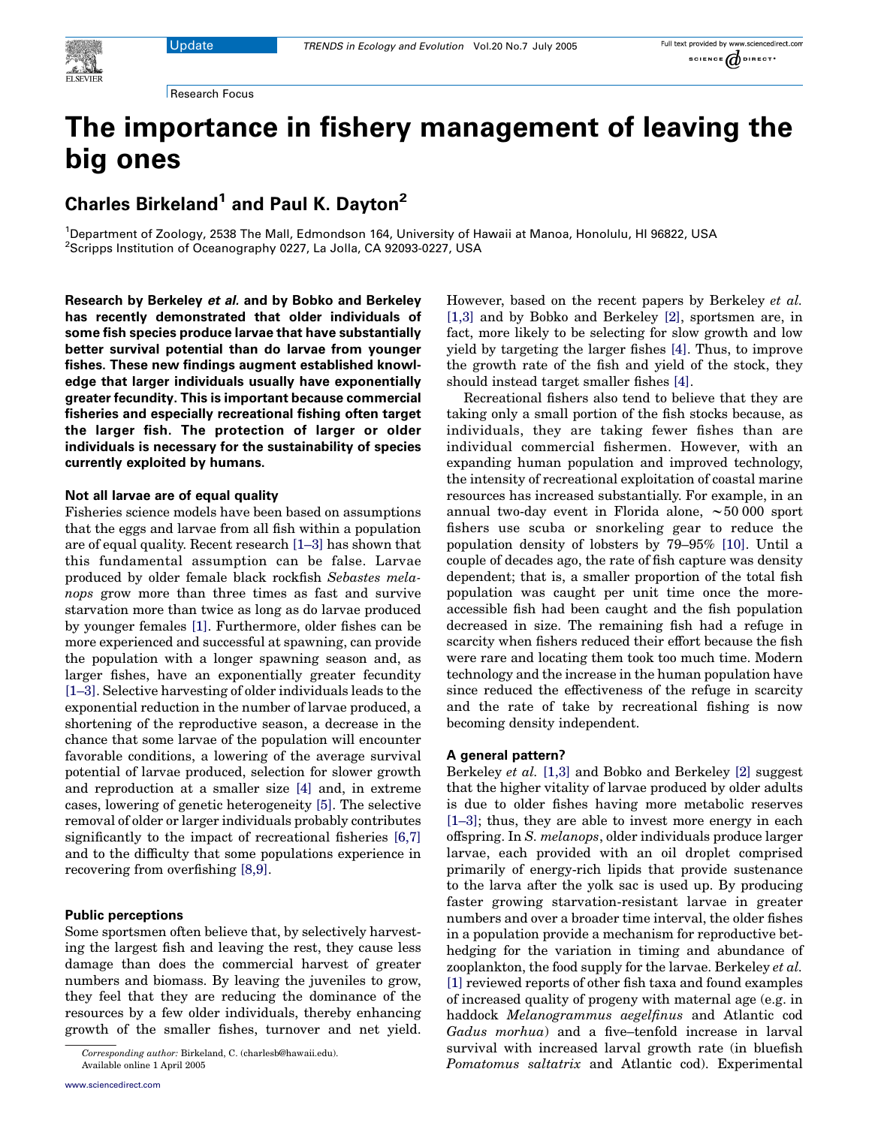

# The importance in fishery management of leaving the big ones

Charles Birkeland<sup>1</sup> and Paul K. Dayton<sup>2</sup>

<sup>1</sup>Department of Zoology, 2538 The Mall, Edmondson 164, University of Hawaii at Manoa, Honolulu, HI 96822, USA <sup>2</sup>Scripps Institution of Oceanography 0227, La Jolla, CA 92093-0227, USA

Research by Berkeley et al. and by Bobko and Berkeley has recently demonstrated that older individuals of some fish species produce larvae that have substantially better survival potential than do larvae from younger fishes. These new findings augment established knowledge that larger individuals usually have exponentially greater fecundity. This is important because commercial fisheries and especially recreational fishing often target the larger fish. The protection of larger or older individuals is necessary for the sustainability of species currently exploited by humans.

### Not all larvae are of equal quality

Fisheries science models have been based on assumptions that the eggs and larvae from all fish within a population are of equal quality. Recent research [\[1–3\]](#page-1-0) has shown that this fundamental assumption can be false. Larvae produced by older female black rockfish Sebastes melanops grow more than three times as fast and survive starvation more than twice as long as do larvae produced by younger females [\[1\]](#page-1-0). Furthermore, older fishes can be more experienced and successful at spawning, can provide the population with a longer spawning season and, as larger fishes, have an exponentially greater fecundity [\[1–3\].](#page-1-0) Selective harvesting of older individuals leads to the exponential reduction in the number of larvae produced, a shortening of the reproductive season, a decrease in the chance that some larvae of the population will encounter favorable conditions, a lowering of the average survival potential of larvae produced, selection for slower growth and reproduction at a smaller size [\[4\]](#page-1-0) and, in extreme cases, lowering of genetic heterogeneity [\[5\]](#page-1-0). The selective removal of older or larger individuals probably contributes significantly to the impact of recreational fisheries [\[6,7\]](#page-2-0) and to the difficulty that some populations experience in recovering from overfishing [\[8,9\].](#page-2-0)

### Public perceptions

Some sportsmen often believe that, by selectively harvesting the largest fish and leaving the rest, they cause less damage than does the commercial harvest of greater numbers and biomass. By leaving the juveniles to grow, they feel that they are reducing the dominance of the resources by a few older individuals, thereby enhancing growth of the smaller fishes, turnover and net yield. However, based on the recent papers by Berkeley et al. [\[1,3\]](#page-1-0) and by Bobko and Berkeley [\[2\],](#page-1-0) sportsmen are, in fact, more likely to be selecting for slow growth and low yield by targeting the larger fishes [\[4\]](#page-1-0). Thus, to improve the growth rate of the fish and yield of the stock, they should instead target smaller fishes [\[4\]](#page-1-0).

Recreational fishers also tend to believe that they are taking only a small portion of the fish stocks because, as individuals, they are taking fewer fishes than are individual commercial fishermen. However, with an expanding human population and improved technology, the intensity of recreational exploitation of coastal marine resources has increased substantially. For example, in an annual two-day event in Florida alone,  $\sim 50 000$  sport fishers use scuba or snorkeling gear to reduce the population density of lobsters by 79–95% [\[10\]](#page-2-0). Until a couple of decades ago, the rate of fish capture was density dependent; that is, a smaller proportion of the total fish population was caught per unit time once the moreaccessible fish had been caught and the fish population decreased in size. The remaining fish had a refuge in scarcity when fishers reduced their effort because the fish were rare and locating them took too much time. Modern technology and the increase in the human population have since reduced the effectiveness of the refuge in scarcity and the rate of take by recreational fishing is now becoming density independent.

#### A general pattern?

Berkeley *et al.* [\[1,3\]](#page-1-0) and Bobko and Berkeley [\[2\]](#page-1-0) suggest that the higher vitality of larvae produced by older adults is due to older fishes having more metabolic reserves [\[1–3\];](#page-1-0) thus, they are able to invest more energy in each offspring. In S. melanops, older individuals produce larger larvae, each provided with an oil droplet comprised primarily of energy-rich lipids that provide sustenance to the larva after the yolk sac is used up. By producing faster growing starvation-resistant larvae in greater numbers and over a broader time interval, the older fishes in a population provide a mechanism for reproductive bethedging for the variation in timing and abundance of zooplankton, the food supply for the larvae. Berkeley et al. [\[1\]](#page-1-0) reviewed reports of other fish taxa and found examples of increased quality of progeny with maternal age (e.g. in haddock Melanogrammus aegelfinus and Atlantic cod Gadus morhua) and a five–tenfold increase in larval survival with increased larval growth rate (in bluefish Pomatomus saltatrix and Atlantic cod). Experimental

Corresponding author: Birkeland, C. (charlesb@hawaii.edu).

Available online 1 April 2005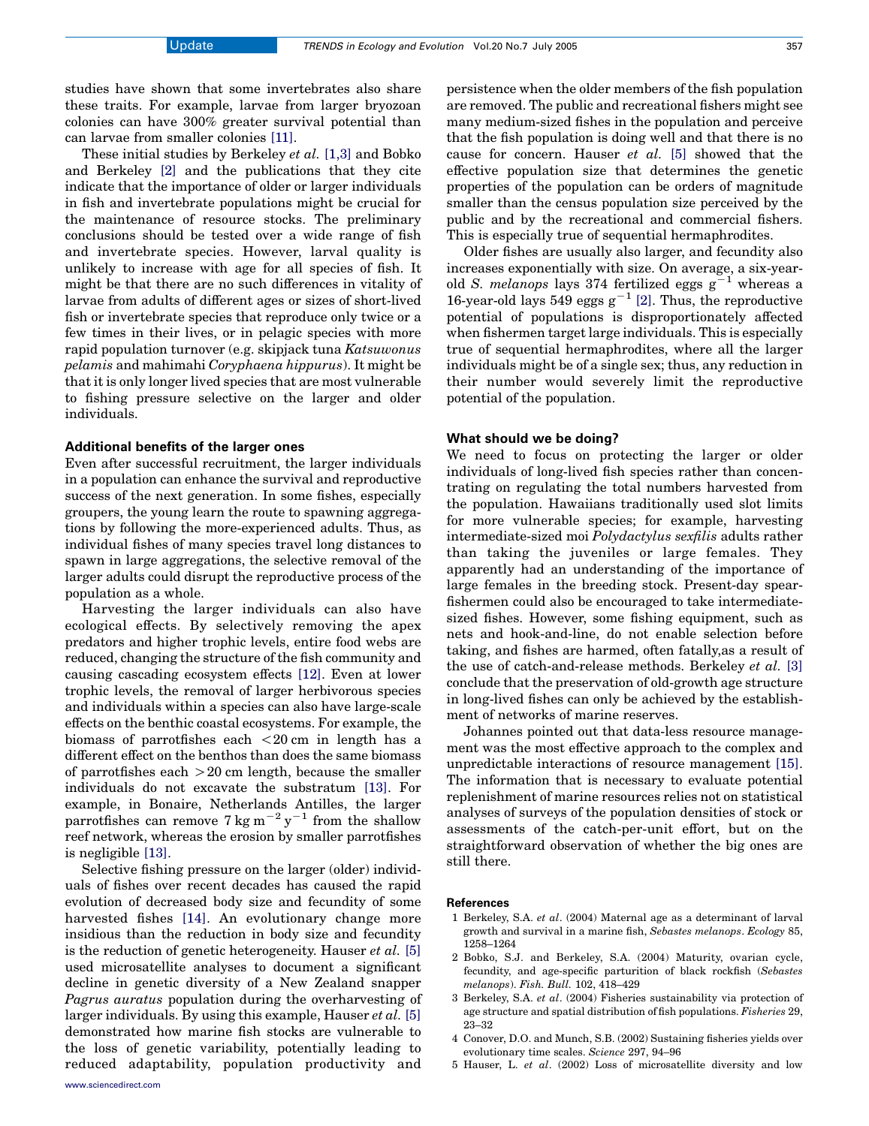<span id="page-1-0"></span>studies have shown that some invertebrates also share these traits. For example, larvae from larger bryozoan colonies can have 300% greater survival potential than can larvae from smaller colonies [\[11\].](#page-2-0)

These initial studies by Berkeley et al. [1,3] and Bobko and Berkeley [2] and the publications that they cite indicate that the importance of older or larger individuals in fish and invertebrate populations might be crucial for the maintenance of resource stocks. The preliminary conclusions should be tested over a wide range of fish and invertebrate species. However, larval quality is unlikely to increase with age for all species of fish. It might be that there are no such differences in vitality of larvae from adults of different ages or sizes of short-lived fish or invertebrate species that reproduce only twice or a few times in their lives, or in pelagic species with more rapid population turnover (e.g. skipjack tuna Katsuwonus pelamis and mahimahi Coryphaena hippurus). It might be that it is only longer lived species that are most vulnerable to fishing pressure selective on the larger and older individuals.

## Additional benefits of the larger ones

Even after successful recruitment, the larger individuals in a population can enhance the survival and reproductive success of the next generation. In some fishes, especially groupers, the young learn the route to spawning aggregations by following the more-experienced adults. Thus, as individual fishes of many species travel long distances to spawn in large aggregations, the selective removal of the larger adults could disrupt the reproductive process of the population as a whole.

Harvesting the larger individuals can also have ecological effects. By selectively removing the apex predators and higher trophic levels, entire food webs are reduced, changing the structure of the fish community and causing cascading ecosystem effects [\[12\].](#page-2-0) Even at lower trophic levels, the removal of larger herbivorous species and individuals within a species can also have large-scale effects on the benthic coastal ecosystems. For example, the biomass of parrotfishes each  $\langle 20 \text{ cm} \rangle$  in length has a different effect on the benthos than does the same biomass of parrotfishes each  $>20$  cm length, because the smaller individuals do not excavate the substratum [\[13\]](#page-2-0). For example, in Bonaire, Netherlands Antilles, the larger parrotfishes can remove 7 kg m<sup>-2</sup> y<sup>-1</sup> from the shallow reef network, whereas the erosion by smaller parrotfishes is negligible [\[13\]](#page-2-0).

Selective fishing pressure on the larger (older) individuals of fishes over recent decades has caused the rapid evolution of decreased body size and fecundity of some harvested fishes [\[14\].](#page-2-0) An evolutionary change more insidious than the reduction in body size and fecundity is the reduction of genetic heterogeneity. Hauser  $et$   $al.$  [5] used microsatellite analyses to document a significant decline in genetic diversity of a New Zealand snapper Pagrus auratus population during the overharvesting of larger individuals. By using this example, Hauser *et al.* [5] demonstrated how marine fish stocks are vulnerable to the loss of genetic variability, potentially leading to reduced adaptability, population productivity and persistence when the older members of the fish population are removed. The public and recreational fishers might see many medium-sized fishes in the population and perceive that the fish population is doing well and that there is no cause for concern. Hauser et al. [5] showed that the effective population size that determines the genetic properties of the population can be orders of magnitude smaller than the census population size perceived by the public and by the recreational and commercial fishers. This is especially true of sequential hermaphrodites.

Older fishes are usually also larger, and fecundity also increases exponentially with size. On average, a six-yearold S. melanops lays 374 fertilized eggs  $g^{-1}$  whereas a 16-year-old lays 549 eggs  $g^{-1}$  [2]. Thus, the reproductive potential of populations is disproportionately affected when fishermen target large individuals. This is especially true of sequential hermaphrodites, where all the larger individuals might be of a single sex; thus, any reduction in their number would severely limit the reproductive potential of the population.

### What should we be doing?

We need to focus on protecting the larger or older individuals of long-lived fish species rather than concentrating on regulating the total numbers harvested from the population. Hawaiians traditionally used slot limits for more vulnerable species; for example, harvesting intermediate-sized moi Polydactylus sexfilis adults rather than taking the juveniles or large females. They apparently had an understanding of the importance of large females in the breeding stock. Present-day spearfishermen could also be encouraged to take intermediatesized fishes. However, some fishing equipment, such as nets and hook-and-line, do not enable selection before taking, and fishes are harmed, often fatally,as a result of the use of catch-and-release methods. Berkeley et al. [3] conclude that the preservation of old-growth age structure in long-lived fishes can only be achieved by the establishment of networks of marine reserves.

Johannes pointed out that data-less resource management was the most effective approach to the complex and unpredictable interactions of resource management [\[15\]](#page-2-0). The information that is necessary to evaluate potential replenishment of marine resources relies not on statistical analyses of surveys of the population densities of stock or assessments of the catch-per-unit effort, but on the straightforward observation of whether the big ones are still there.

#### References

- 1 Berkeley, S.A. et al. (2004) Maternal age as a determinant of larval growth and survival in a marine fish, Sebastes melanops. Ecology 85, 1258–1264
- 2 Bobko, S.J. and Berkeley, S.A. (2004) Maturity, ovarian cycle, fecundity, and age-specific parturition of black rockfish (Sebastes melanops). Fish. Bull. 102, 418–429
- 3 Berkeley, S.A. et al. (2004) Fisheries sustainability via protection of age structure and spatial distribution of fish populations. Fisheries 29, 23–32
- 4 Conover, D.O. and Munch, S.B. (2002) Sustaining fisheries yields over evolutionary time scales. Science 297, 94–96
- 5 Hauser, L. et al. (2002) Loss of microsatellite diversity and low